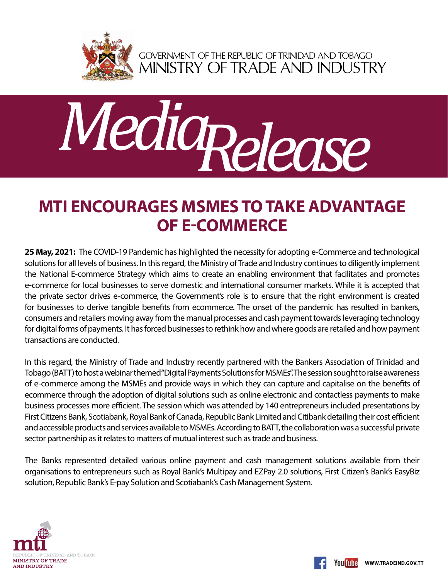

GOVERNMENT OF THE REPUBLIC OF TRINIDAD AND TOBAGO<br>MINISTRY OF TRADE AND INDUSTRY



## **MTI Encourages MSMEs to Take Advantage of E-Commerce**

**25 May, 2021:** The COVID-19 Pandemic has highlighted the necessity for adopting e-Commerce and technological solutions for all levels of business. In this regard, the Ministry of Trade and Industry continues to diligently implement the National E-commerce Strategy which aims to create an enabling environment that facilitates and promotes e-commerce for local businesses to serve domestic and international consumer markets. While it is accepted that the private sector drives e-commerce, the Government's role is to ensure that the right environment is created for businesses to derive tangible benefits from ecommerce. The onset of the pandemic has resulted in bankers, consumers and retailers moving away from the manual processes and cash payment towards leveraging technology for digital forms of payments. It has forced businesses to rethink how and where goods are retailed and how payment transactions are conducted.

In this regard, the Ministry of Trade and Industry recently partnered with the Bankers Association of Trinidad and Tobago (BATT) to host a webinar themed "Digital Payments Solutions for MSMEs". The session sought to raise awareness of e-commerce among the MSMEs and provide ways in which they can capture and capitalise on the benefits of ecommerce through the adoption of digital solutions such as online electronic and contactless payments to make business processes more efficient. The session which was attended by 140 entrepreneurs included presentations by First Citizens Bank, Scotiabank, Royal Bank of Canada, Republic Bank Limited and Citibank detailing their cost efficient and accessible products and services available to MSMEs. According to BATT, the collaboration was a successful private sector partnership as it relates to matters of mutual interest such as trade and business.

The Banks represented detailed various online payment and cash management solutions available from their organisations to entrepreneurs such as Royal Bank's Multipay and EZPay 2.0 solutions, First Citizen's Bank's EasyBiz solution, Republic Bank's E-pay Solution and Scotiabank's Cash Management System.